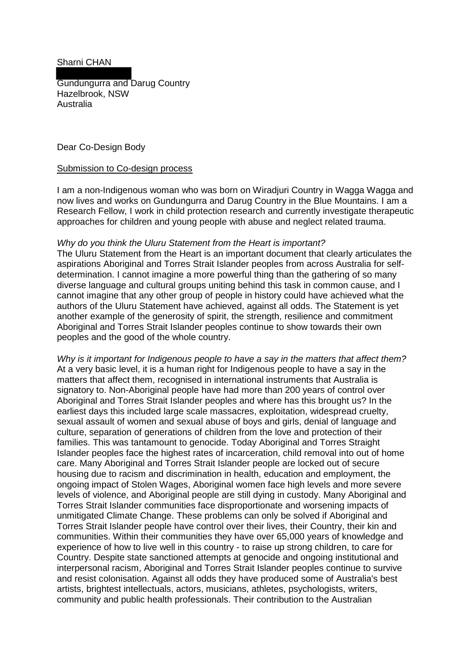## Sharni CHAN

Gundungurra and Darug Country Hazelbrook, NSW Australia

Dear Co-Design Body

## Submission to Co-design process

I am a non-Indigenous woman who was born on Wiradjuri Country in Wagga Wagga and now lives and works on Gundungurra and Darug Country in the Blue Mountains. I am a Research Fellow, I work in child protection research and currently investigate therapeutic approaches for children and young people with abuse and neglect related trauma.

## *Why do you think the Uluru Statement from the Heart is important?*

The Uluru Statement from the Heart is an important document that clearly articulates the aspirations Aboriginal and Torres Strait Islander peoples from across Australia for selfdetermination. I cannot imagine a more powerful thing than the gathering of so many diverse language and cultural groups uniting behind this task in common cause, and I cannot imagine that any other group of people in history could have achieved what the authors of the Uluru Statement have achieved, against all odds. The Statement is yet another example of the generosity of spirit, the strength, resilience and commitment Aboriginal and Torres Strait Islander peoples continue to show towards their own peoples and the good of the whole country.

*Why is it important for Indigenous people to have a say in the matters that affect them?* At a very basic level, it is a human right for Indigenous people to have a say in the matters that affect them, recognised in international instruments that Australia is signatory to. Non-Aboriginal people have had more than 200 years of control over Aboriginal and Torres Strait Islander peoples and where has this brought us? In the earliest days this included large scale massacres, exploitation, widespread cruelty, sexual assault of women and sexual abuse of boys and girls, denial of language and culture, separation of generations of children from the love and protection of their families. This was tantamount to genocide. Today Aboriginal and Torres Straight Islander peoples face the highest rates of incarceration, child removal into out of home care. Many Aboriginal and Torres Strait Islander people are locked out of secure housing due to racism and discrimination in health, education and employment, the ongoing impact of Stolen Wages, Aboriginal women face high levels and more severe levels of violence, and Aboriginal people are still dying in custody. Many Aboriginal and Torres Strait Islander communities face disproportionate and worsening impacts of unmitigated Climate Change. These problems can only be solved if Aboriginal and Torres Strait Islander people have control over their lives, their Country, their kin and communities. Within their communities they have over 65,000 years of knowledge and experience of how to live well in this country - to raise up strong children, to care for Country. Despite state sanctioned attempts at genocide and ongoing institutional and interpersonal racism, Aboriginal and Torres Strait Islander peoples continue to survive and resist colonisation. Against all odds they have produced some of Australia's best artists, brightest intellectuals, actors, musicians, athletes, psychologists, writers, community and public health professionals. Their contribution to the Australian